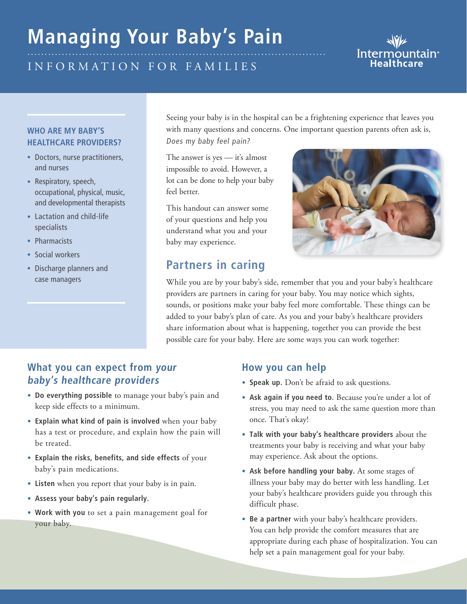# **Managing Your Baby's Pain**

# Inf o r m atio n f o r f a m i l i e s

#### **Who are my baby's healthcare providers?**

- Doctors, nurse practitioners, and nurses
- Respiratory, speech, occupational, physical, music, and developmental therapists
- Lactation and child-life specialists
- Pharmacists
- Social workers
- Discharge planners and case managers

Seeing your baby is in the hospital can be a frightening experience that leaves you with many questions and concerns. One important question parents often ask is,

Does my baby feel pain?

The answer is yes — it's almost impossible to avoid. However, a lot can be done to help your baby feel better.

This handout can answer some of your questions and help you understand what you and your baby may experience.

# **Partners in caring**



While you are by your baby's side, remember that you and your baby's healthcare providers are partners in caring for your baby. You may notice which sights, sounds, or positions make your baby feel more comfortable. These things can be added to your baby's plan of care. As you and your baby's healthcare providers share information about what is happening, together you can provide the best possible care for your baby. Here are some ways you can work together:

#### **What you can expect from your baby's healthcare providers**

- **• Do everything possible** to manage your baby's pain and keep side effects to a minimum.
- **• Explain what kind of pain is involved** when your baby has a test or procedure, and explain how the pain will be treated.
- **• Explain the risks, benefits, and side effects** of your baby's pain medications.
- **• Listen** when you report that your baby is in pain.
- **• Assess your baby's pain regularly.**
- **• Work with you** to set a pain management goal for your baby.

#### **How you can help**

- **• Speak up.** Don't be afraid to ask questions.
- **• Ask again if you need to.** Because you're under a lot of stress, you may need to ask the same question more than once. That's okay!
- **• Talk with your baby's healthcare providers** about the treatments your baby is receiving and what your baby may experience. Ask about the options.
- **• Ask before handling your baby.** At some stages of illness your baby may do better with less handling. Let your baby's healthcare providers guide you through this difficult phase.
- **• Be a partner** with your baby's healthcare providers. You can help provide the comfort measures that are appropriate during each phase of hospitalization. You can help set a pain management goal for your baby.

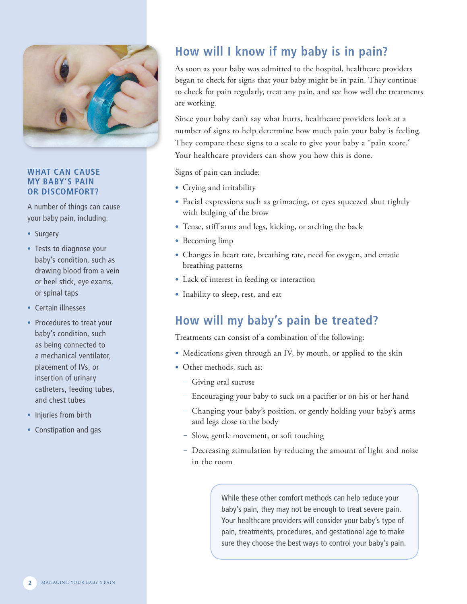

#### **What can cause my baby's pain or discomfort?**

A number of things can cause your baby pain, including:

- Surgery
- Tests to diagnose your baby's condition, such as drawing blood from a vein or heel stick, eye exams, or spinal taps
- Certain illnesses
- Procedures to treat your baby's condition, such as being connected to a mechanical ventilator, placement of IVs, or insertion of urinary catheters, feeding tubes, and chest tubes
- Injuries from birth
- Constipation and gas

# **How will I know if my baby is in pain?**

As soon as your baby was admitted to the hospital, healthcare providers began to check for signs that your baby might be in pain. They continue to check for pain regularly, treat any pain, and see how well the treatments are working.

Since your baby can't say what hurts, healthcare providers look at a number of signs to help determine how much pain your baby is feeling. They compare these signs to a scale to give your baby a "pain score." Your healthcare providers can show you how this is done.

Signs of pain can include:

- **•** Crying and irritability
- **•** Facial expressions such as grimacing, or eyes squeezed shut tightly with bulging of the brow
- **•** Tense, stiff arms and legs, kicking, or arching the back
- **•** Becoming limp
- **•** Changes in heart rate, breathing rate, need for oxygen, and erratic breathing patterns
- **•** Lack of interest in feeding or interaction
- **•** Inability to sleep, rest, and eat

# **How will my baby's pain be treated?**

Treatments can consist of a combination of the following:

- **•** Medications given through an IV, by mouth, or applied to the skin
- **•** Other methods, such as:
	- Giving oral sucrose
	- Encouraging your baby to suck on a pacifier or on his or her hand
	- Changing your baby's position, or gently holding your baby's arms and legs close to the body
	- Slow, gentle movement, or soft touching
	- Decreasing stimulation by reducing the amount of light and noise in the room

While these other comfort methods can help reduce your baby's pain, they may not be enough to treat severe pain. Your healthcare providers will consider your baby's type of pain, treatments, procedures, and gestational age to make sure they choose the best ways to control your baby's pain.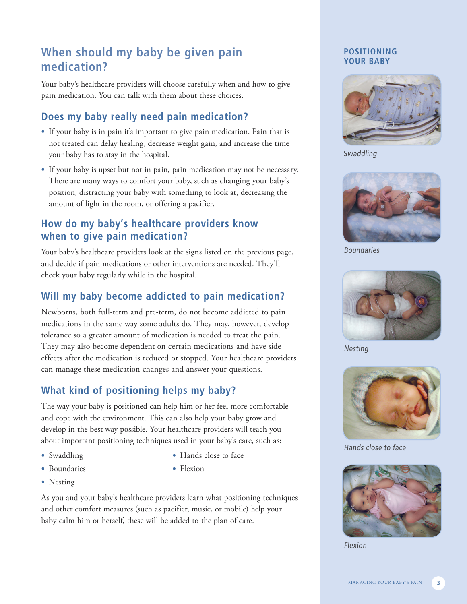# **When should my baby be given pain medication?**

Your baby's healthcare providers will choose carefully when and how to give pain medication. You can talk with them about these choices.

## **Does my baby really need pain medication?**

- **•** If your baby is in pain it's important to give pain medication. Pain that is not treated can delay healing, decrease weight gain, and increase the time your baby has to stay in the hospital.
- **•** If your baby is upset but not in pain, pain medication may not be necessary. There are many ways to comfort your baby, such as changing your baby's position, distracting your baby with something to look at, decreasing the amount of light in the room, or offering a pacifier.

### **How do my baby's healthcare providers know when to give pain medication?**

Your baby's healthcare providers look at the signs listed on the previous page, and decide if pain medications or other interventions are needed. They'll check your baby regularly while in the hospital.

### **Will my baby become addicted to pain medication?**

Newborns, both full-term and pre-term, do not become addicted to pain medications in the same way some adults do. They may, however, develop tolerance so a greater amount of medication is needed to treat the pain. They may also become dependent on certain medications and have side effects after the medication is reduced or stopped. Your healthcare providers can manage these medication changes and answer your questions.

### **What kind of positioning helps my baby?**

The way your baby is positioned can help him or her feel more comfortable and cope with the environment. This can also help your baby grow and develop in the best way possible. Your healthcare providers will teach you about important positioning techniques used in your baby's care, such as:

- **•** Swaddling
- **•** Boundaries
- **•** Nesting
- **•** Hands close to face
- **•** Flexion

As you and your baby's healthcare providers learn what positioning techniques and other comfort measures (such as pacifier, music, or mobile) help your baby calm him or herself, these will be added to the plan of care.

#### **Positioning your baby**



Swaddling



Boundaries



Nesting



Hands close to face



Flexion